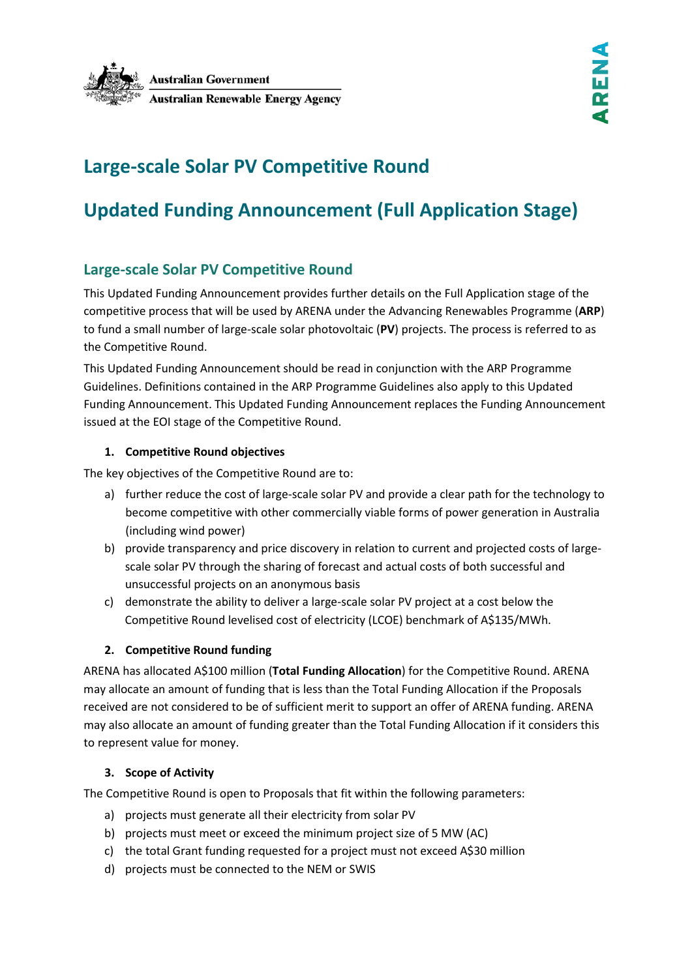

# **Large-scale Solar PV Competitive Round**

# **Updated Funding Announcement (Full Application Stage)**

### **Large-scale Solar PV Competitive Round**

This Updated Funding Announcement provides further details on the Full Application stage of the competitive process that will be used by ARENA under the Advancing Renewables Programme (**ARP**) to fund a small number of large-scale solar photovoltaic (**PV**) projects. The process is referred to as the Competitive Round.

This Updated Funding Announcement should be read in conjunction with the ARP Programme Guidelines. Definitions contained in the ARP Programme Guidelines also apply to this Updated Funding Announcement. This Updated Funding Announcement replaces the Funding Announcement issued at the EOI stage of the Competitive Round.

#### **1. Competitive Round objectives**

The key objectives of the Competitive Round are to:

- a) further reduce the cost of large-scale solar PV and provide a clear path for the technology to become competitive with other commercially viable forms of power generation in Australia (including wind power)
- b) provide transparency and price discovery in relation to current and projected costs of largescale solar PV through the sharing of forecast and actual costs of both successful and unsuccessful projects on an anonymous basis
- c) demonstrate the ability to deliver a large-scale solar PV project at a cost below the Competitive Round levelised cost of electricity (LCOE) benchmark of A\$135/MWh.

#### **2. Competitive Round funding**

ARENA has allocated A\$100 million (**Total Funding Allocation**) for the Competitive Round. ARENA may allocate an amount of funding that is less than the Total Funding Allocation if the Proposals received are not considered to be of sufficient merit to support an offer of ARENA funding. ARENA may also allocate an amount of funding greater than the Total Funding Allocation if it considers this to represent value for money.

#### <span id="page-0-0"></span>**3. Scope of Activity**

The Competitive Round is open to Proposals that fit within the following parameters:

- a) projects must generate all their electricity from solar PV
- b) projects must meet or exceed the minimum project size of 5 MW (AC)
- c) the total Grant funding requested for a project must not exceed A\$30 million
- d) projects must be connected to the NEM or SWIS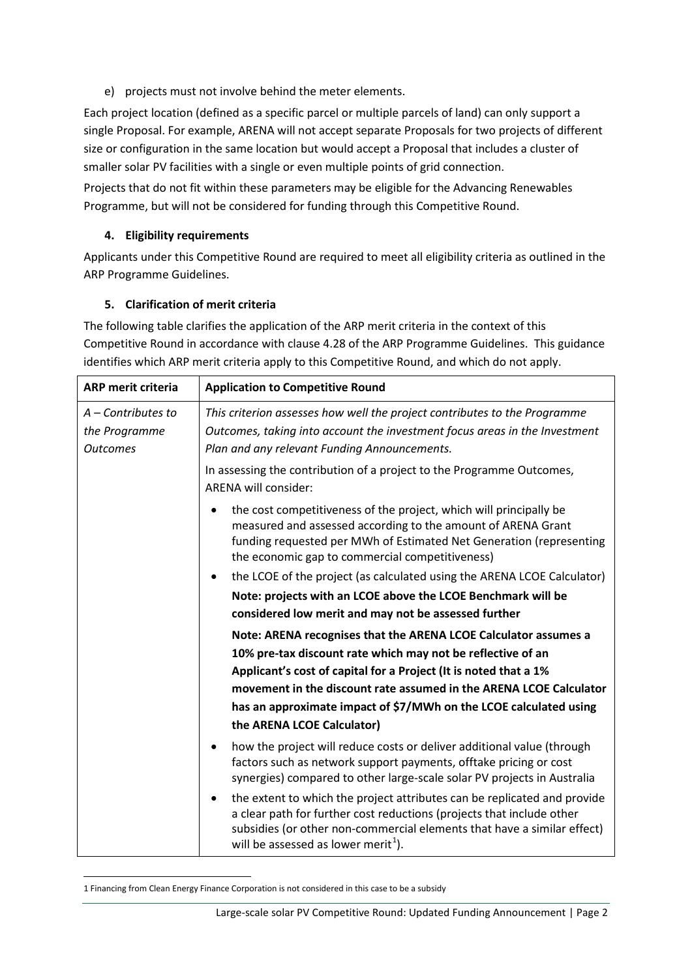e) projects must not involve behind the meter elements.

Each project location (defined as a specific parcel or multiple parcels of land) can only support a single Proposal. For example, ARENA will not accept separate Proposals for two projects of different size or configuration in the same location but would accept a Proposal that includes a cluster of smaller solar PV facilities with a single or even multiple points of grid connection.

Projects that do not fit within these parameters may be eligible for the Advancing Renewables Programme, but will not be considered for funding through this Competitive Round.

#### **4. Eligibility requirements**

Applicants under this Competitive Round are required to meet all eligibility criteria as outlined in the ARP Programme Guidelines.

#### <span id="page-1-1"></span>**5. Clarification of merit criteria**

The following table clarifies the application of the ARP merit criteria in the context of this Competitive Round in accordance with clause 4.28 of the ARP Programme Guidelines. This guidance identifies which ARP merit criteria apply to this Competitive Round, and which do not apply.

| <b>ARP merit criteria</b>                                | <b>Application to Competitive Round</b>                                                                                                                                                                                                                                                      |
|----------------------------------------------------------|----------------------------------------------------------------------------------------------------------------------------------------------------------------------------------------------------------------------------------------------------------------------------------------------|
| $A$ – Contributes to<br>the Programme<br><b>Outcomes</b> | This criterion assesses how well the project contributes to the Programme<br>Outcomes, taking into account the investment focus areas in the Investment<br>Plan and any relevant Funding Announcements.                                                                                      |
|                                                          | In assessing the contribution of a project to the Programme Outcomes,<br><b>ARENA will consider:</b>                                                                                                                                                                                         |
|                                                          | the cost competitiveness of the project, which will principally be<br>$\bullet$<br>measured and assessed according to the amount of ARENA Grant<br>funding requested per MWh of Estimated Net Generation (representing<br>the economic gap to commercial competitiveness)                    |
|                                                          | the LCOE of the project (as calculated using the ARENA LCOE Calculator)                                                                                                                                                                                                                      |
|                                                          | Note: projects with an LCOE above the LCOE Benchmark will be                                                                                                                                                                                                                                 |
|                                                          | considered low merit and may not be assessed further                                                                                                                                                                                                                                         |
|                                                          | Note: ARENA recognises that the ARENA LCOE Calculator assumes a<br>10% pre-tax discount rate which may not be reflective of an                                                                                                                                                               |
|                                                          | Applicant's cost of capital for a Project (It is noted that a 1%                                                                                                                                                                                                                             |
|                                                          | movement in the discount rate assumed in the ARENA LCOE Calculator                                                                                                                                                                                                                           |
|                                                          | has an approximate impact of \$7/MWh on the LCOE calculated using                                                                                                                                                                                                                            |
|                                                          | the ARENA LCOE Calculator)                                                                                                                                                                                                                                                                   |
|                                                          | how the project will reduce costs or deliver additional value (through<br>factors such as network support payments, offtake pricing or cost<br>synergies) compared to other large-scale solar PV projects in Australia                                                                       |
|                                                          | the extent to which the project attributes can be replicated and provide<br>$\bullet$<br>a clear path for further cost reductions (projects that include other<br>subsidies (or other non-commercial elements that have a similar effect)<br>will be assessed as lower merit <sup>1</sup> ). |

<span id="page-1-0"></span> <sup>1</sup> Financing from Clean Energy Finance Corporation is not considered in this case to be a subsidy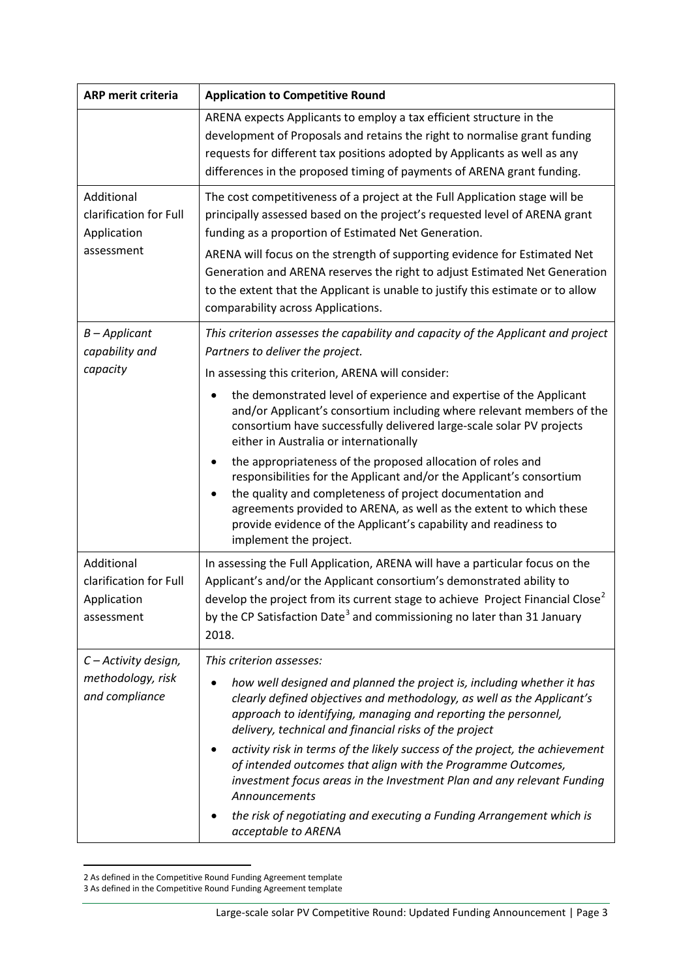| ARP merit criteria                                                | <b>Application to Competitive Round</b>                                                                                                                                                                                                                                                                                                                                                                                                                                                                                                                                                                                                            |
|-------------------------------------------------------------------|----------------------------------------------------------------------------------------------------------------------------------------------------------------------------------------------------------------------------------------------------------------------------------------------------------------------------------------------------------------------------------------------------------------------------------------------------------------------------------------------------------------------------------------------------------------------------------------------------------------------------------------------------|
|                                                                   | ARENA expects Applicants to employ a tax efficient structure in the<br>development of Proposals and retains the right to normalise grant funding<br>requests for different tax positions adopted by Applicants as well as any<br>differences in the proposed timing of payments of ARENA grant funding.                                                                                                                                                                                                                                                                                                                                            |
| Additional<br>clarification for Full<br>Application<br>assessment | The cost competitiveness of a project at the Full Application stage will be<br>principally assessed based on the project's requested level of ARENA grant<br>funding as a proportion of Estimated Net Generation.<br>ARENA will focus on the strength of supporting evidence for Estimated Net<br>Generation and ARENA reserves the right to adjust Estimated Net Generation<br>to the extent that the Applicant is unable to justify this estimate or to allow<br>comparability across Applications.                                                                                                                                              |
| $B$ – Applicant<br>capability and<br>capacity                     | This criterion assesses the capability and capacity of the Applicant and project<br>Partners to deliver the project.<br>In assessing this criterion, ARENA will consider:                                                                                                                                                                                                                                                                                                                                                                                                                                                                          |
|                                                                   | the demonstrated level of experience and expertise of the Applicant<br>and/or Applicant's consortium including where relevant members of the<br>consortium have successfully delivered large-scale solar PV projects<br>either in Australia or internationally<br>the appropriateness of the proposed allocation of roles and<br>responsibilities for the Applicant and/or the Applicant's consortium<br>the quality and completeness of project documentation and<br>agreements provided to ARENA, as well as the extent to which these<br>provide evidence of the Applicant's capability and readiness to<br>implement the project.              |
| Additional<br>clarification for Full<br>Application<br>assessment | In assessing the Full Application, ARENA will have a particular focus on the<br>Applicant's and/or the Applicant consortium's demonstrated ability to<br>develop the project from its current stage to achieve Project Financial Close <sup>2</sup><br>by the CP Satisfaction Date <sup>3</sup> and commissioning no later than 31 January<br>2018.                                                                                                                                                                                                                                                                                                |
| C - Activity design,<br>methodology, risk<br>and compliance       | This criterion assesses:<br>how well designed and planned the project is, including whether it has<br>clearly defined objectives and methodology, as well as the Applicant's<br>approach to identifying, managing and reporting the personnel,<br>delivery, technical and financial risks of the project<br>activity risk in terms of the likely success of the project, the achievement<br>of intended outcomes that align with the Programme Outcomes,<br>investment focus areas in the Investment Plan and any relevant Funding<br>Announcements<br>the risk of negotiating and executing a Funding Arrangement which is<br>acceptable to ARENA |

<span id="page-2-0"></span> <sup>2</sup> As defined in the Competitive Round Funding Agreement template

<span id="page-2-1"></span><sup>3</sup> As defined in the Competitive Round Funding Agreement template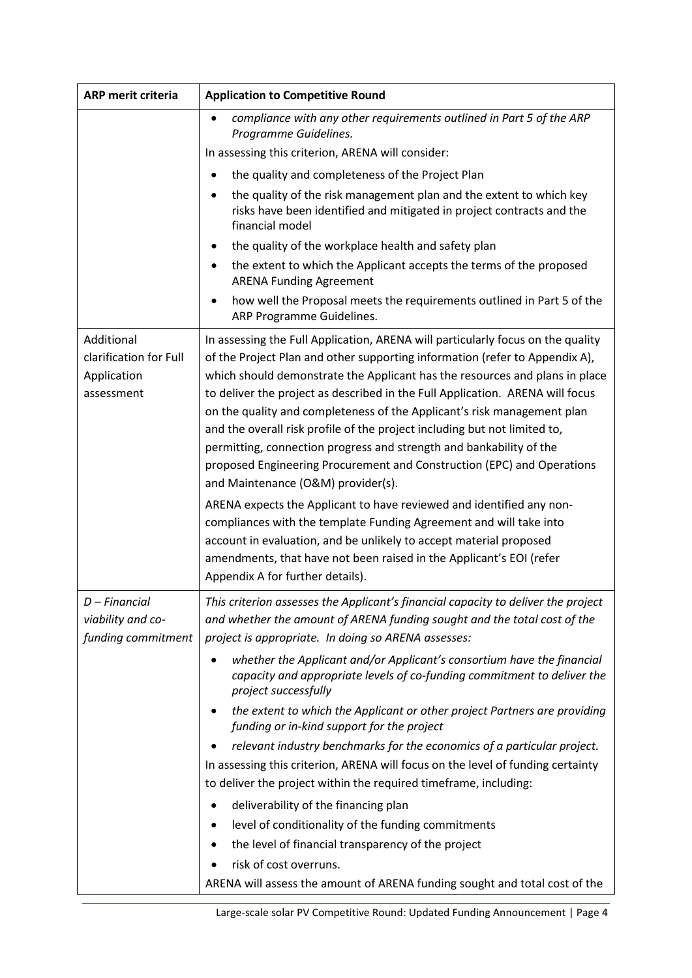| ARP merit criteria                                                | <b>Application to Competitive Round</b>                                                                                                                                                                                                                                                                                                                                                                                                                                                                                                                                                                                                                                       |
|-------------------------------------------------------------------|-------------------------------------------------------------------------------------------------------------------------------------------------------------------------------------------------------------------------------------------------------------------------------------------------------------------------------------------------------------------------------------------------------------------------------------------------------------------------------------------------------------------------------------------------------------------------------------------------------------------------------------------------------------------------------|
|                                                                   | compliance with any other requirements outlined in Part 5 of the ARP<br>Programme Guidelines.                                                                                                                                                                                                                                                                                                                                                                                                                                                                                                                                                                                 |
|                                                                   | In assessing this criterion, ARENA will consider:                                                                                                                                                                                                                                                                                                                                                                                                                                                                                                                                                                                                                             |
|                                                                   | the quality and completeness of the Project Plan                                                                                                                                                                                                                                                                                                                                                                                                                                                                                                                                                                                                                              |
|                                                                   | the quality of the risk management plan and the extent to which key<br>risks have been identified and mitigated in project contracts and the<br>financial model                                                                                                                                                                                                                                                                                                                                                                                                                                                                                                               |
|                                                                   | the quality of the workplace health and safety plan                                                                                                                                                                                                                                                                                                                                                                                                                                                                                                                                                                                                                           |
|                                                                   | the extent to which the Applicant accepts the terms of the proposed<br><b>ARENA Funding Agreement</b>                                                                                                                                                                                                                                                                                                                                                                                                                                                                                                                                                                         |
|                                                                   | how well the Proposal meets the requirements outlined in Part 5 of the<br>ARP Programme Guidelines.                                                                                                                                                                                                                                                                                                                                                                                                                                                                                                                                                                           |
| Additional<br>clarification for Full<br>Application<br>assessment | In assessing the Full Application, ARENA will particularly focus on the quality<br>of the Project Plan and other supporting information (refer to Appendix A),<br>which should demonstrate the Applicant has the resources and plans in place<br>to deliver the project as described in the Full Application. ARENA will focus<br>on the quality and completeness of the Applicant's risk management plan<br>and the overall risk profile of the project including but not limited to,<br>permitting, connection progress and strength and bankability of the<br>proposed Engineering Procurement and Construction (EPC) and Operations<br>and Maintenance (O&M) provider(s). |
|                                                                   | ARENA expects the Applicant to have reviewed and identified any non-<br>compliances with the template Funding Agreement and will take into<br>account in evaluation, and be unlikely to accept material proposed<br>amendments, that have not been raised in the Applicant's EOI (refer<br>Appendix A for further details).                                                                                                                                                                                                                                                                                                                                                   |
| D – Financial<br>viability and co-<br>funding commitment          | This criterion assesses the Applicant's financial capacity to deliver the project<br>and whether the amount of ARENA funding sought and the total cost of the<br>project is appropriate. In doing so ARENA assesses:                                                                                                                                                                                                                                                                                                                                                                                                                                                          |
|                                                                   | whether the Applicant and/or Applicant's consortium have the financial<br>capacity and appropriate levels of co-funding commitment to deliver the<br>project successfully                                                                                                                                                                                                                                                                                                                                                                                                                                                                                                     |
|                                                                   | the extent to which the Applicant or other project Partners are providing<br>funding or in-kind support for the project                                                                                                                                                                                                                                                                                                                                                                                                                                                                                                                                                       |
|                                                                   | relevant industry benchmarks for the economics of a particular project.<br>In assessing this criterion, ARENA will focus on the level of funding certainty<br>to deliver the project within the required timeframe, including:                                                                                                                                                                                                                                                                                                                                                                                                                                                |
|                                                                   | deliverability of the financing plan                                                                                                                                                                                                                                                                                                                                                                                                                                                                                                                                                                                                                                          |
|                                                                   | level of conditionality of the funding commitments                                                                                                                                                                                                                                                                                                                                                                                                                                                                                                                                                                                                                            |
|                                                                   | the level of financial transparency of the project                                                                                                                                                                                                                                                                                                                                                                                                                                                                                                                                                                                                                            |
|                                                                   | risk of cost overruns.                                                                                                                                                                                                                                                                                                                                                                                                                                                                                                                                                                                                                                                        |
|                                                                   | ARENA will assess the amount of ARENA funding sought and total cost of the                                                                                                                                                                                                                                                                                                                                                                                                                                                                                                                                                                                                    |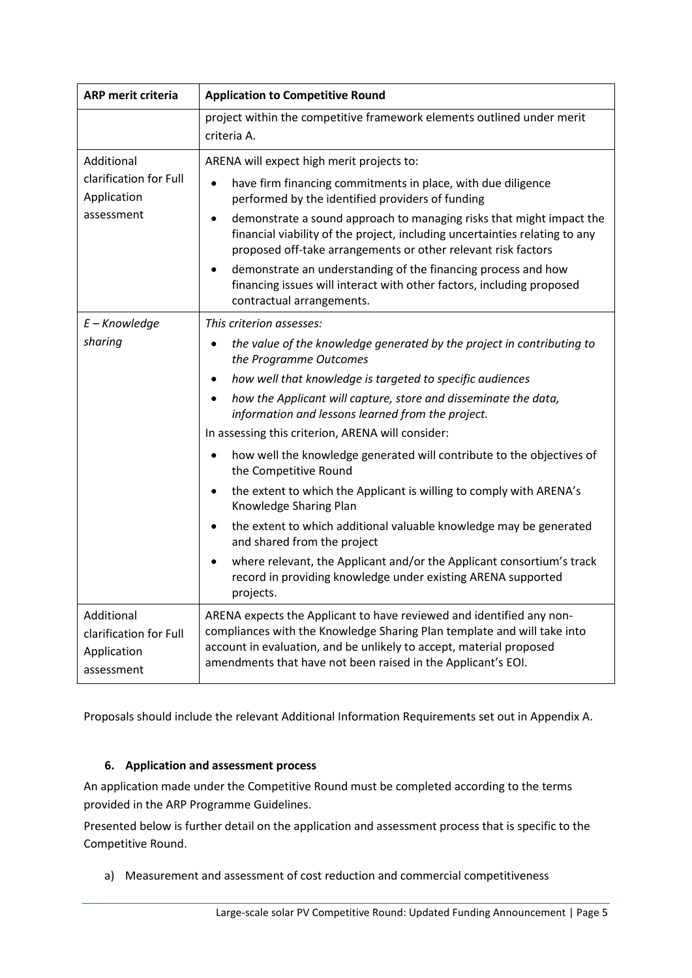| <b>ARP merit criteria</b>                                         | <b>Application to Competitive Round</b>                                                                                                                                                                                                                                                                                                                                                                                                                                                                                                                                                                                                                                                                                                                                                                                                                                     |
|-------------------------------------------------------------------|-----------------------------------------------------------------------------------------------------------------------------------------------------------------------------------------------------------------------------------------------------------------------------------------------------------------------------------------------------------------------------------------------------------------------------------------------------------------------------------------------------------------------------------------------------------------------------------------------------------------------------------------------------------------------------------------------------------------------------------------------------------------------------------------------------------------------------------------------------------------------------|
|                                                                   | project within the competitive framework elements outlined under merit<br>criteria A.                                                                                                                                                                                                                                                                                                                                                                                                                                                                                                                                                                                                                                                                                                                                                                                       |
| Additional<br>clarification for Full<br>Application<br>assessment | ARENA will expect high merit projects to:<br>have firm financing commitments in place, with due diligence<br>$\bullet$<br>performed by the identified providers of funding<br>demonstrate a sound approach to managing risks that might impact the<br>$\bullet$<br>financial viability of the project, including uncertainties relating to any<br>proposed off-take arrangements or other relevant risk factors<br>demonstrate an understanding of the financing process and how<br>financing issues will interact with other factors, including proposed<br>contractual arrangements.                                                                                                                                                                                                                                                                                      |
| $E -$ Knowledge<br>sharing                                        | This criterion assesses:<br>the value of the knowledge generated by the project in contributing to<br>the Programme Outcomes<br>how well that knowledge is targeted to specific audiences<br>$\bullet$<br>how the Applicant will capture, store and disseminate the data,<br>information and lessons learned from the project.<br>In assessing this criterion, ARENA will consider:<br>how well the knowledge generated will contribute to the objectives of<br>the Competitive Round<br>the extent to which the Applicant is willing to comply with ARENA's<br>$\bullet$<br>Knowledge Sharing Plan<br>the extent to which additional valuable knowledge may be generated<br>and shared from the project<br>where relevant, the Applicant and/or the Applicant consortium's track<br>$\bullet$<br>record in providing knowledge under existing ARENA supported<br>projects. |
| Additional<br>clarification for Full<br>Application<br>assessment | ARENA expects the Applicant to have reviewed and identified any non-<br>compliances with the Knowledge Sharing Plan template and will take into<br>account in evaluation, and be unlikely to accept, material proposed<br>amendments that have not been raised in the Applicant's EOI.                                                                                                                                                                                                                                                                                                                                                                                                                                                                                                                                                                                      |

Proposals should include the relevant Additional Information Requirements set out in Appendix A.

#### <span id="page-4-0"></span>**6. Application and assessment process**

An application made under the Competitive Round must be completed according to the terms provided in the ARP Programme Guidelines.

Presented below is further detail on the application and assessment process that is specific to the Competitive Round.

a) Measurement and assessment of cost reduction and commercial competitiveness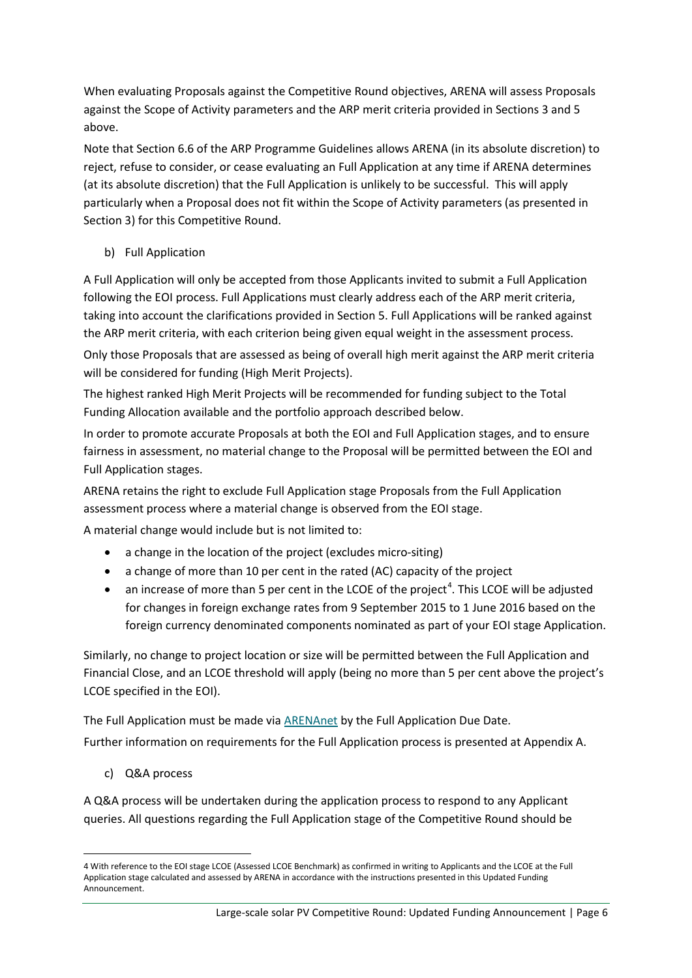When evaluating Proposals against the Competitive Round objectives, ARENA will assess Proposals against the Scope of Activity parameters and the ARP merit criteria provided in Sections [3](#page-0-0) an[d 5](#page-1-1) above.

Note that Section 6.6 of the ARP Programme Guidelines allows ARENA (in its absolute discretion) to reject, refuse to consider, or cease evaluating an Full Application at any time if ARENA determines (at its absolute discretion) that the Full Application is unlikely to be successful. This will apply particularly when a Proposal does not fit within the Scope of Activity parameters (as presented in Sectio[n 3\)](#page-0-0) for this Competitive Round.

b) Full Application

A Full Application will only be accepted from those Applicants invited to submit a Full Application following the EOI process. Full Applications must clearly address each of the ARP merit criteria, taking into account the clarifications provided in Sectio[n 5.](#page-1-1) Full Applications will be ranked against the ARP merit criteria, with each criterion being given equal weight in the assessment process.

Only those Proposals that are assessed as being of overall high merit against the ARP merit criteria will be considered for funding (High Merit Projects).

The highest ranked High Merit Projects will be recommended for funding subject to the Total Funding Allocation available and the portfolio approach described below.

In order to promote accurate Proposals at both the EOI and Full Application stages, and to ensure fairness in assessment, no material change to the Proposal will be permitted between the EOI and Full Application stages.

ARENA retains the right to exclude Full Application stage Proposals from the Full Application assessment process where a material change is observed from the EOI stage.

A material change would include but is not limited to:

- a change in the location of the project (excludes micro-siting)
- a change of more than 10 per cent in the rated (AC) capacity of the project
- $\bullet$  an increase of more than 5 per cent in the LCOE of the project<sup>[4](#page-5-0)</sup>. This LCOE will be adjusted for changes in foreign exchange rates from 9 September 2015 to 1 June 2016 based on the foreign currency denominated components nominated as part of your EOI stage Application.

Similarly, no change to project location or size will be permitted between the Full Application and Financial Close, and an LCOE threshold will apply (being no more than 5 per cent above the project's LCOE specified in the EOI).

The Full Application must be made via **ARENAnet** by the Full Application Due Date.

Further information on requirements for the Full Application process is presented at Appendix A.

c) Q&A process

A Q&A process will be undertaken during the application process to respond to any Applicant queries. All questions regarding the Full Application stage of the Competitive Round should be

<span id="page-5-0"></span> <sup>4</sup> With reference to the EOI stage LCOE (Assessed LCOE Benchmark) as confirmed in writing to Applicants and the LCOE at the Full Application stage calculated and assessed by ARENA in accordance with the instructions presented in this Updated Funding Announcement.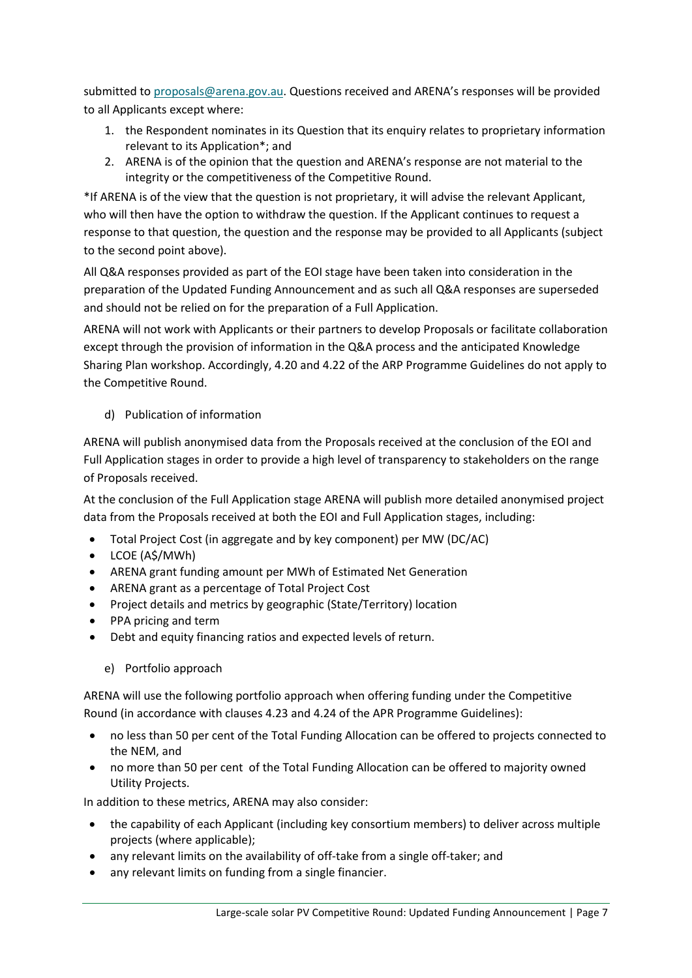submitted to [proposals@arena.gov.au.](mailto:proposals@arena.gov.au) Questions received and ARENA's responses will be provided to all Applicants except where:

- 1. the Respondent nominates in its Question that its enquiry relates to proprietary information relevant to its Application\*; and
- 2. ARENA is of the opinion that the question and ARENA's response are not material to the integrity or the competitiveness of the Competitive Round.

\*If ARENA is of the view that the question is not proprietary, it will advise the relevant Applicant, who will then have the option to withdraw the question. If the Applicant continues to request a response to that question, the question and the response may be provided to all Applicants (subject to the second point above).

All Q&A responses provided as part of the EOI stage have been taken into consideration in the preparation of the Updated Funding Announcement and as such all Q&A responses are superseded and should not be relied on for the preparation of a Full Application.

ARENA will not work with Applicants or their partners to develop Proposals or facilitate collaboration except through the provision of information in the Q&A process and the anticipated Knowledge Sharing Plan workshop. Accordingly, 4.20 and 4.22 of the ARP Programme Guidelines do not apply to the Competitive Round.

#### d) Publication of information

ARENA will publish anonymised data from the Proposals received at the conclusion of the EOI and Full Application stages in order to provide a high level of transparency to stakeholders on the range of Proposals received.

At the conclusion of the Full Application stage ARENA will publish more detailed anonymised project data from the Proposals received at both the EOI and Full Application stages, including:

- Total Project Cost (in aggregate and by key component) per MW (DC/AC)
- LCOE (A\$/MWh)
- ARENA grant funding amount per MWh of Estimated Net Generation
- ARENA grant as a percentage of Total Project Cost
- Project details and metrics by geographic (State/Territory) location
- PPA pricing and term
- Debt and equity financing ratios and expected levels of return.
	- e) Portfolio approach

ARENA will use the following portfolio approach when offering funding under the Competitive Round (in accordance with clauses 4.23 and 4.24 of the APR Programme Guidelines):

- no less than 50 per cent of the Total Funding Allocation can be offered to projects connected to the NEM, and
- no more than 50 per cent of the Total Funding Allocation can be offered to majority owned Utility Projects.

In addition to these metrics, ARENA may also consider:

- the capability of each Applicant (including key consortium members) to deliver across multiple projects (where applicable);
- any relevant limits on the availability of off-take from a single off-taker; and
- any relevant limits on funding from a single financier.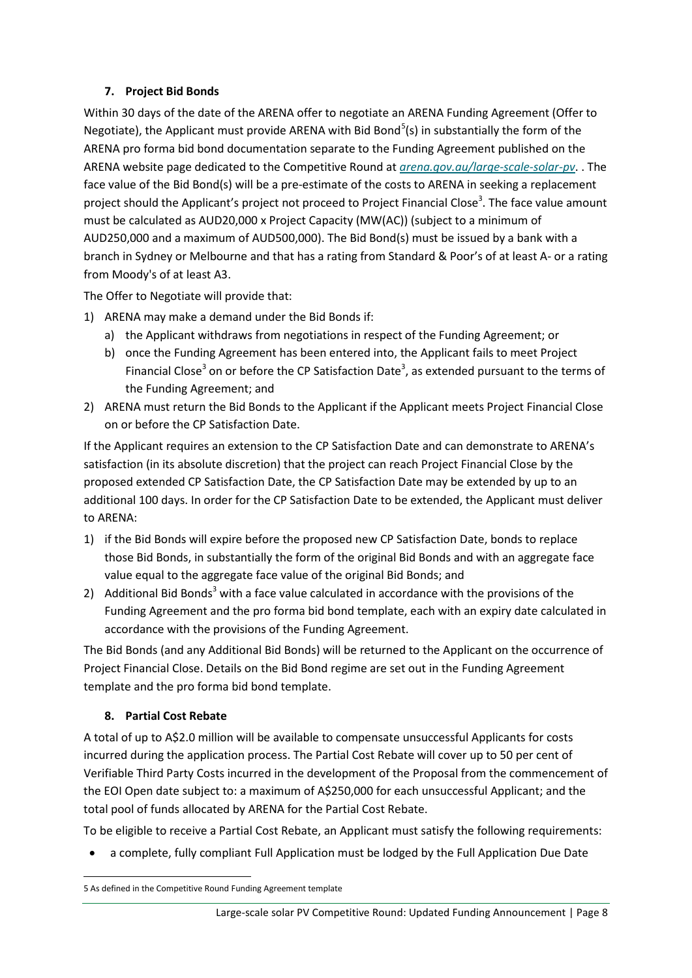#### **7. Project Bid Bonds**

Within 30 days of the date of the ARENA offer to negotiate an ARENA Funding Agreement (Offer to Negotiate), the Applicant must provide ARENA with Bid Bond<sup>[5](#page-7-0)</sup>(s) in substantially the form of the ARENA pro forma bid bond documentation separate to the Funding Agreement published on the ARENA website page dedicated to the Competitive Round at *[arena.gov.au/large-scale-solar-pv](http://www.arena.gov.au/large-scale-solar-pv)*. . The face value of the Bid Bond(s) will be a pre-estimate of the costs to ARENA in seeking a replacement project should the Applicant's project not proceed to Project Financial Close<sup>3</sup>. The face value amount must be calculated as AUD20,000 x Project Capacity (MW(AC)) (subject to a minimum of AUD250,000 and a maximum of AUD500,000). The Bid Bond(s) must be issued by a bank with a branch in Sydney or Melbourne and that has a rating from Standard & Poor's of at least A- or a rating from Moody's of at least A3.

The Offer to Negotiate will provide that:

- 1) ARENA may make a demand under the Bid Bonds if:
	- a) the Applicant withdraws from negotiations in respect of the Funding Agreement; or
	- b) once the Funding Agreement has been entered into, the Applicant fails to meet Project Financial Close<sup>3</sup> on or before the CP Satisfaction Date<sup>3</sup>, as extended pursuant to the terms of the Funding Agreement; and
- 2) ARENA must return the Bid Bonds to the Applicant if the Applicant meets Project Financial Close on or before the CP Satisfaction Date.

If the Applicant requires an extension to the CP Satisfaction Date and can demonstrate to ARENA's satisfaction (in its absolute discretion) that the project can reach Project Financial Close by the proposed extended CP Satisfaction Date, the CP Satisfaction Date may be extended by up to an additional 100 days. In order for the CP Satisfaction Date to be extended, the Applicant must deliver to ARENA:

- 1) if the Bid Bonds will expire before the proposed new CP Satisfaction Date, bonds to replace those Bid Bonds, in substantially the form of the original Bid Bonds and with an aggregate face value equal to the aggregate face value of the original Bid Bonds; and
- 2) Additional Bid Bonds<sup>3</sup> with a face value calculated in accordance with the provisions of the Funding Agreement and the pro forma bid bond template, each with an expiry date calculated in accordance with the provisions of the Funding Agreement.

The Bid Bonds (and any Additional Bid Bonds) will be returned to the Applicant on the occurrence of Project Financial Close. Details on the Bid Bond regime are set out in the Funding Agreement template and the pro forma bid bond template.

#### <span id="page-7-1"></span>**8. Partial Cost Rebate**

A total of up to A\$2.0 million will be available to compensate unsuccessful Applicants for costs incurred during the application process. The Partial Cost Rebate will cover up to 50 per cent of Verifiable Third Party Costs incurred in the development of the Proposal from the commencement of the EOI Open date subject to: a maximum of A\$250,000 for each unsuccessful Applicant; and the total pool of funds allocated by ARENA for the Partial Cost Rebate.

To be eligible to receive a Partial Cost Rebate, an Applicant must satisfy the following requirements:

• a complete, fully compliant Full Application must be lodged by the Full Application Due Date

<span id="page-7-0"></span> <sup>5</sup> As defined in the Competitive Round Funding Agreement template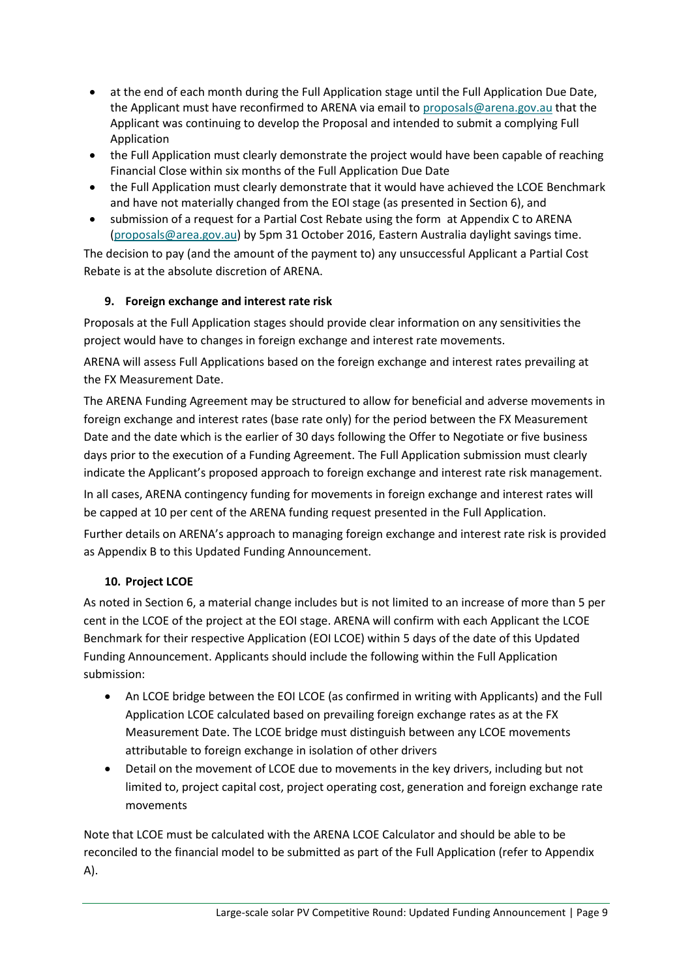- at the end of each month during the Full Application stage until the Full Application Due Date, the Applicant must have reconfirmed to ARENA via email to [proposals@arena.gov.au](mailto:proposals@arena.gov.au) that the Applicant was continuing to develop the Proposal and intended to submit a complying Full Application
- the Full Application must clearly demonstrate the project would have been capable of reaching Financial Close within six months of the Full Application Due Date
- the Full Application must clearly demonstrate that it would have achieved the LCOE Benchmark and have not materially changed from the EOI stage (as presented in Section 6), and
- submission of a request for a Partial Cost Rebate using the form at Appendix C to ARENA [\(proposals@area.gov.au\)](mailto:proposals@area.gov.au) by 5pm 31 October 2016, Eastern Australia daylight savings time.

The decision to pay (and the amount of the payment to) any unsuccessful Applicant a Partial Cost Rebate is at the absolute discretion of ARENA.

### <span id="page-8-1"></span>**9. Foreign exchange and interest rate risk**

Proposals at the Full Application stages should provide clear information on any sensitivities the project would have to changes in foreign exchange and interest rate movements.

ARENA will assess Full Applications based on the foreign exchange and interest rates prevailing at the FX Measurement Date.

The ARENA Funding Agreement may be structured to allow for beneficial and adverse movements in foreign exchange and interest rates (base rate only) for the period between the FX Measurement Date and the date which is the earlier of 30 days following the Offer to Negotiate or five business days prior to the execution of a Funding Agreement. The Full Application submission must clearly indicate the Applicant's proposed approach to foreign exchange and interest rate risk management.

In all cases, ARENA contingency funding for movements in foreign exchange and interest rates will be capped at 10 per cent of the ARENA funding request presented in the Full Application.

Further details on ARENA's approach to managing foreign exchange and interest rate risk is provided as Appendix B to this Updated Funding Announcement.

### <span id="page-8-0"></span>**10. Project LCOE**

As noted in Sectio[n 6,](#page-4-0) a material change includes but is not limited to an increase of more than 5 per cent in the LCOE of the project at the EOI stage. ARENA will confirm with each Applicant the LCOE Benchmark for their respective Application (EOI LCOE) within 5 days of the date of this Updated Funding Announcement. Applicants should include the following within the Full Application submission:

- An LCOE bridge between the EOI LCOE (as confirmed in writing with Applicants) and the Full Application LCOE calculated based on prevailing foreign exchange rates as at the FX Measurement Date. The LCOE bridge must distinguish between any LCOE movements attributable to foreign exchange in isolation of other drivers
- Detail on the movement of LCOE due to movements in the key drivers, including but not limited to, project capital cost, project operating cost, generation and foreign exchange rate movements

Note that LCOE must be calculated with the ARENA LCOE Calculator and should be able to be reconciled to the financial model to be submitted as part of the Full Application (refer to Appendix A).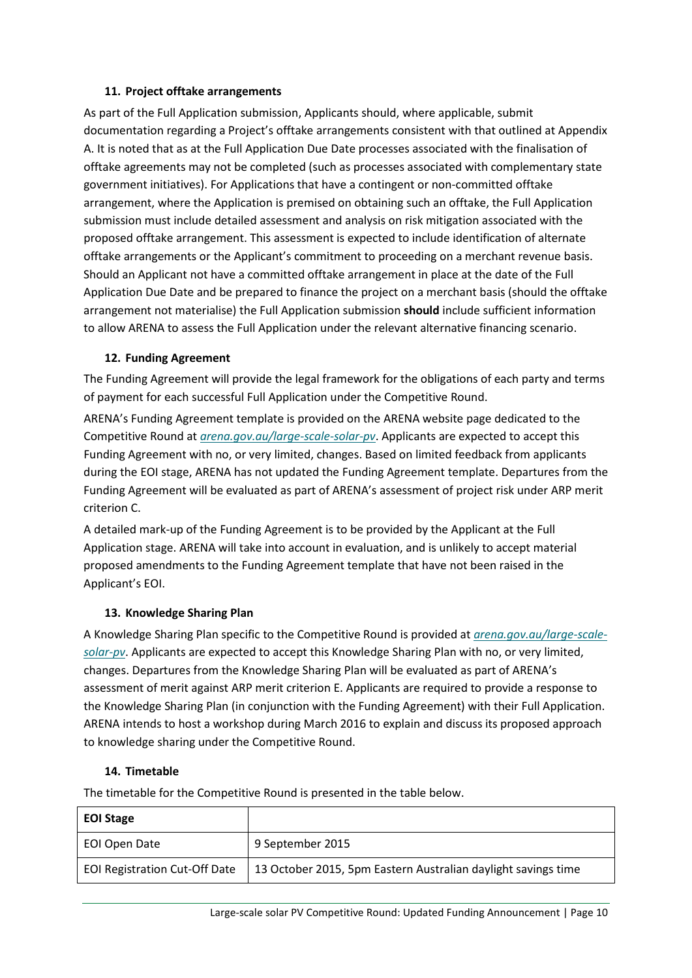#### **11. Project offtake arrangements**

As part of the Full Application submission, Applicants should, where applicable, submit documentation regarding a Project's offtake arrangements consistent with that outlined at Appendix A. It is noted that as at the Full Application Due Date processes associated with the finalisation of offtake agreements may not be completed (such as processes associated with complementary state government initiatives). For Applications that have a contingent or non-committed offtake arrangement, where the Application is premised on obtaining such an offtake, the Full Application submission must include detailed assessment and analysis on risk mitigation associated with the proposed offtake arrangement. This assessment is expected to include identification of alternate offtake arrangements or the Applicant's commitment to proceeding on a merchant revenue basis. Should an Applicant not have a committed offtake arrangement in place at the date of the Full Application Due Date and be prepared to finance the project on a merchant basis (should the offtake arrangement not materialise) the Full Application submission **should** include sufficient information to allow ARENA to assess the Full Application under the relevant alternative financing scenario.

#### **12. Funding Agreement**

The Funding Agreement will provide the legal framework for the obligations of each party and terms of payment for each successful Full Application under the Competitive Round.

ARENA's Funding Agreement template is provided on the ARENA website page dedicated to the Competitive Round at *[arena.gov.au/large-scale-solar-pv](http://www.arena.gov.au/large-scale-solar-pv)*. Applicants are expected to accept this Funding Agreement with no, or very limited, changes. Based on limited feedback from applicants during the EOI stage, ARENA has not updated the Funding Agreement template. Departures from the Funding Agreement will be evaluated as part of ARENA's assessment of project risk under ARP merit criterion C.

A detailed mark-up of the Funding Agreement is to be provided by the Applicant at the Full Application stage. ARENA will take into account in evaluation, and is unlikely to accept material proposed amendments to the Funding Agreement template that have not been raised in the Applicant's EOI.

#### **13. Knowledge Sharing Plan**

A Knowledge Sharing Plan specific to the Competitive Round is provided at *[arena.gov.au/large-scale](http://www.arena.gov.au/large-scale-solar-pv)[solar-pv](http://www.arena.gov.au/large-scale-solar-pv)*. Applicants are expected to accept this Knowledge Sharing Plan with no, or very limited, changes. Departures from the Knowledge Sharing Plan will be evaluated as part of ARENA's assessment of merit against ARP merit criterion E. Applicants are required to provide a response to the Knowledge Sharing Plan (in conjunction with the Funding Agreement) with their Full Application. ARENA intends to host a workshop during March 2016 to explain and discuss its proposed approach to knowledge sharing under the Competitive Round.

#### **14. Timetable**

The timetable for the Competitive Round is presented in the table below.

| <b>EOI Stage</b>                     |                                                               |
|--------------------------------------|---------------------------------------------------------------|
| EOI Open Date                        | 9 September 2015                                              |
| <b>EOI Registration Cut-Off Date</b> | 13 October 2015, 5pm Eastern Australian daylight savings time |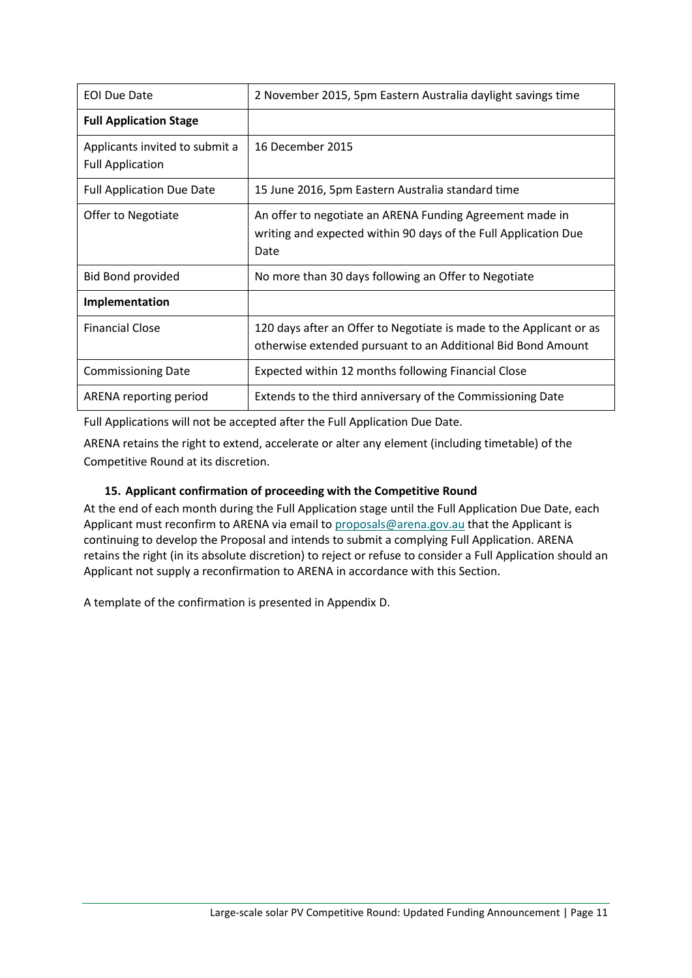| <b>EOI Due Date</b>                                       | 2 November 2015, 5pm Eastern Australia daylight savings time                                                                        |
|-----------------------------------------------------------|-------------------------------------------------------------------------------------------------------------------------------------|
| <b>Full Application Stage</b>                             |                                                                                                                                     |
| Applicants invited to submit a<br><b>Full Application</b> | 16 December 2015                                                                                                                    |
| <b>Full Application Due Date</b>                          | 15 June 2016, 5pm Eastern Australia standard time                                                                                   |
| Offer to Negotiate                                        | An offer to negotiate an ARENA Funding Agreement made in<br>writing and expected within 90 days of the Full Application Due<br>Date |
| <b>Bid Bond provided</b>                                  | No more than 30 days following an Offer to Negotiate                                                                                |
| Implementation                                            |                                                                                                                                     |
| <b>Financial Close</b>                                    | 120 days after an Offer to Negotiate is made to the Applicant or as<br>otherwise extended pursuant to an Additional Bid Bond Amount |
| <b>Commissioning Date</b>                                 | Expected within 12 months following Financial Close                                                                                 |
| ARENA reporting period                                    | Extends to the third anniversary of the Commissioning Date                                                                          |

Full Applications will not be accepted after the Full Application Due Date.

ARENA retains the right to extend, accelerate or alter any element (including timetable) of the Competitive Round at its discretion.

#### **15. Applicant confirmation of proceeding with the Competitive Round**

At the end of each month during the Full Application stage until the Full Application Due Date, each Applicant must reconfirm to ARENA via email to [proposals@arena.gov.au](mailto:proposals@arena.gov.au) that the Applicant is continuing to develop the Proposal and intends to submit a complying Full Application. ARENA retains the right (in its absolute discretion) to reject or refuse to consider a Full Application should an Applicant not supply a reconfirmation to ARENA in accordance with this Section.

A template of the confirmation is presented in Appendix D.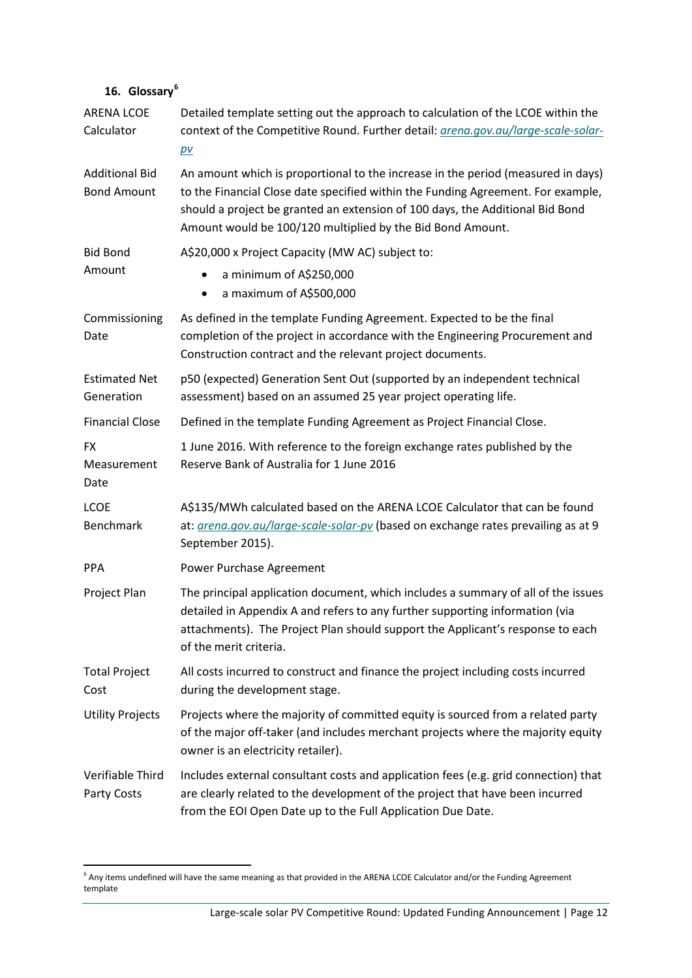### **16. Glossary[6](#page-11-0)**

| <b>ARENA LCOE</b><br>Calculator             | Detailed template setting out the approach to calculation of the LCOE within the<br>context of the Competitive Round. Further detail: <i>grena.gov.au/large-scale-solar-</i><br>$p\nu$                                                                                                                              |
|---------------------------------------------|---------------------------------------------------------------------------------------------------------------------------------------------------------------------------------------------------------------------------------------------------------------------------------------------------------------------|
| <b>Additional Bid</b><br><b>Bond Amount</b> | An amount which is proportional to the increase in the period (measured in days)<br>to the Financial Close date specified within the Funding Agreement. For example,<br>should a project be granted an extension of 100 days, the Additional Bid Bond<br>Amount would be 100/120 multiplied by the Bid Bond Amount. |
| <b>Bid Bond</b>                             | A\$20,000 x Project Capacity (MW AC) subject to:                                                                                                                                                                                                                                                                    |
| Amount                                      | a minimum of A\$250,000<br>a maximum of A\$500,000<br>$\bullet$                                                                                                                                                                                                                                                     |
| Commissioning<br>Date                       | As defined in the template Funding Agreement. Expected to be the final<br>completion of the project in accordance with the Engineering Procurement and<br>Construction contract and the relevant project documents.                                                                                                 |
| <b>Estimated Net</b><br>Generation          | p50 (expected) Generation Sent Out (supported by an independent technical<br>assessment) based on an assumed 25 year project operating life.                                                                                                                                                                        |
| <b>Financial Close</b>                      | Defined in the template Funding Agreement as Project Financial Close.                                                                                                                                                                                                                                               |
| <b>FX</b><br>Measurement<br>Date            | 1 June 2016. With reference to the foreign exchange rates published by the<br>Reserve Bank of Australia for 1 June 2016                                                                                                                                                                                             |
| <b>LCOE</b><br>Benchmark                    | A\$135/MWh calculated based on the ARENA LCOE Calculator that can be found<br>at: arena.gov.au/large-scale-solar-pv (based on exchange rates prevailing as at 9<br>September 2015).                                                                                                                                 |
| <b>PPA</b>                                  | Power Purchase Agreement                                                                                                                                                                                                                                                                                            |
| Project Plan                                | The principal application document, which includes a summary of all of the issues<br>detailed in Appendix A and refers to any further supporting information (via<br>attachments). The Project Plan should support the Applicant's response to each<br>of the merit criteria.                                       |
| <b>Total Project</b><br>Cost                | All costs incurred to construct and finance the project including costs incurred<br>during the development stage.                                                                                                                                                                                                   |
| <b>Utility Projects</b>                     | Projects where the majority of committed equity is sourced from a related party<br>of the major off-taker (and includes merchant projects where the majority equity<br>owner is an electricity retailer).                                                                                                           |
| Verifiable Third<br>Party Costs             | Includes external consultant costs and application fees (e.g. grid connection) that<br>are clearly related to the development of the project that have been incurred<br>from the EOI Open Date up to the Full Application Due Date.                                                                                 |

<span id="page-11-0"></span> <sup>6</sup> Any items undefined will have the same meaning as that provided in the ARENA LCOE Calculator and/or the Funding Agreement template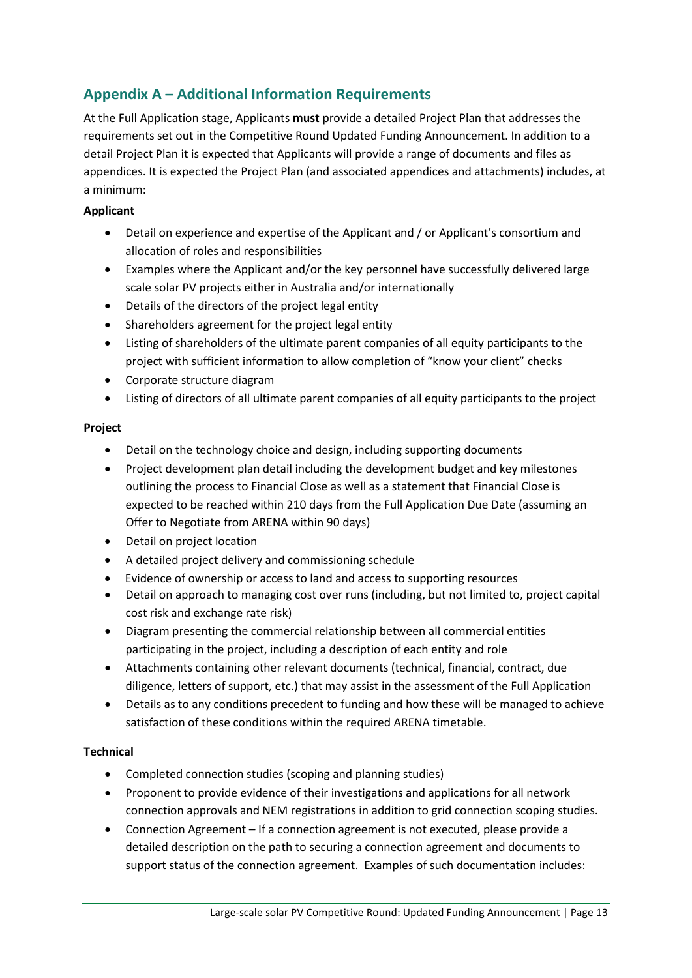## **Appendix A – Additional Information Requirements**

At the Full Application stage, Applicants **must** provide a detailed Project Plan that addresses the requirements set out in the Competitive Round Updated Funding Announcement. In addition to a detail Project Plan it is expected that Applicants will provide a range of documents and files as appendices. It is expected the Project Plan (and associated appendices and attachments) includes, at a minimum:

#### **Applicant**

- Detail on experience and expertise of the Applicant and / or Applicant's consortium and allocation of roles and responsibilities
- Examples where the Applicant and/or the key personnel have successfully delivered large scale solar PV projects either in Australia and/or internationally
- Details of the directors of the project legal entity
- Shareholders agreement for the project legal entity
- Listing of shareholders of the ultimate parent companies of all equity participants to the project with sufficient information to allow completion of "know your client" checks
- Corporate structure diagram
- Listing of directors of all ultimate parent companies of all equity participants to the project

#### **Project**

- Detail on the technology choice and design, including supporting documents
- Project development plan detail including the development budget and key milestones outlining the process to Financial Close as well as a statement that Financial Close is expected to be reached within 210 days from the Full Application Due Date (assuming an Offer to Negotiate from ARENA within 90 days)
- Detail on project location
- A detailed project delivery and commissioning schedule
- Evidence of ownership or access to land and access to supporting resources
- Detail on approach to managing cost over runs (including, but not limited to, project capital cost risk and exchange rate risk)
- Diagram presenting the commercial relationship between all commercial entities participating in the project, including a description of each entity and role
- Attachments containing other relevant documents (technical, financial, contract, due diligence, letters of support, etc.) that may assist in the assessment of the Full Application
- Details as to any conditions precedent to funding and how these will be managed to achieve satisfaction of these conditions within the required ARENA timetable.

#### **Technical**

- Completed connection studies (scoping and planning studies)
- Proponent to provide evidence of their investigations and applications for all network connection approvals and NEM registrations in addition to grid connection scoping studies.
- Connection Agreement If a connection agreement is not executed, please provide a detailed description on the path to securing a connection agreement and documents to support status of the connection agreement. Examples of such documentation includes: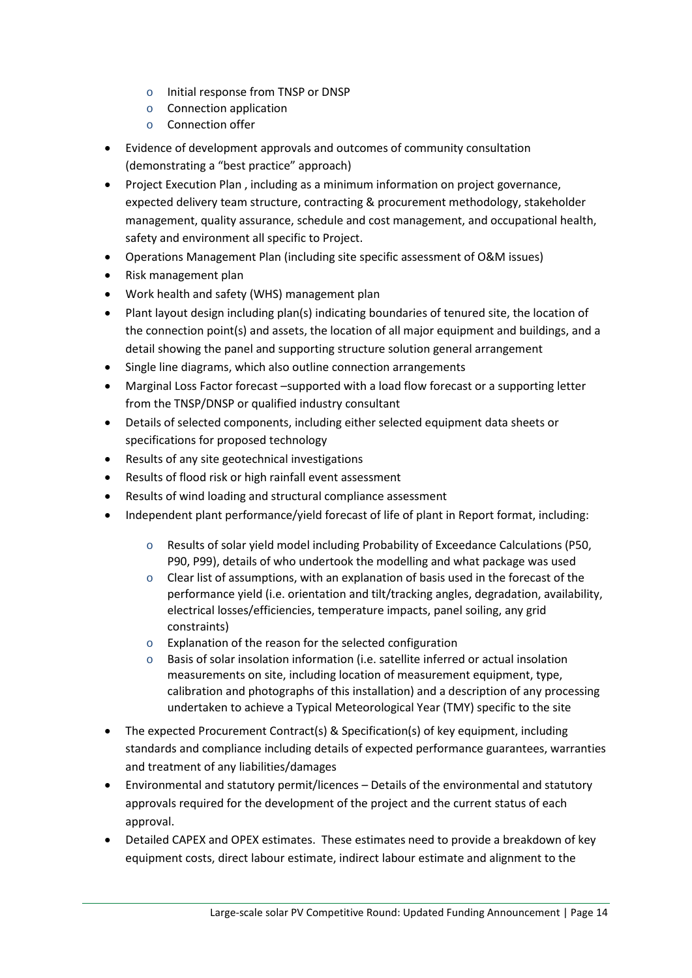- o Initial response from TNSP or DNSP
- o Connection application
- o Connection offer
- Evidence of development approvals and outcomes of community consultation (demonstrating a "best practice" approach)
- Project Execution Plan , including as a minimum information on project governance, expected delivery team structure, contracting & procurement methodology, stakeholder management, quality assurance, schedule and cost management, and occupational health, safety and environment all specific to Project.
- Operations Management Plan (including site specific assessment of O&M issues)
- Risk management plan
- Work health and safety (WHS) management plan
- Plant layout design including plan(s) indicating boundaries of tenured site, the location of the connection point(s) and assets, the location of all major equipment and buildings, and a detail showing the panel and supporting structure solution general arrangement
- Single line diagrams, which also outline connection arrangements
- Marginal Loss Factor forecast –supported with a load flow forecast or a supporting letter from the TNSP/DNSP or qualified industry consultant
- Details of selected components, including either selected equipment data sheets or specifications for proposed technology
- Results of any site geotechnical investigations
- Results of flood risk or high rainfall event assessment
- Results of wind loading and structural compliance assessment
- Independent plant performance/yield forecast of life of plant in Report format, including:
	- o Results of solar yield model including Probability of Exceedance Calculations (P50, P90, P99), details of who undertook the modelling and what package was used
	- o Clear list of assumptions, with an explanation of basis used in the forecast of the performance yield (i.e. orientation and tilt/tracking angles, degradation, availability, electrical losses/efficiencies, temperature impacts, panel soiling, any grid constraints)
	- o Explanation of the reason for the selected configuration
	- Basis of solar insolation information (i.e. satellite inferred or actual insolation measurements on site, including location of measurement equipment, type, calibration and photographs of this installation) and a description of any processing undertaken to achieve a Typical Meteorological Year (TMY) specific to the site
- The expected Procurement Contract(s) & Specification(s) of key equipment, including standards and compliance including details of expected performance guarantees, warranties and treatment of any liabilities/damages
- Environmental and statutory permit/licences Details of the environmental and statutory approvals required for the development of the project and the current status of each approval.
- Detailed CAPEX and OPEX estimates. These estimates need to provide a breakdown of key equipment costs, direct labour estimate, indirect labour estimate and alignment to the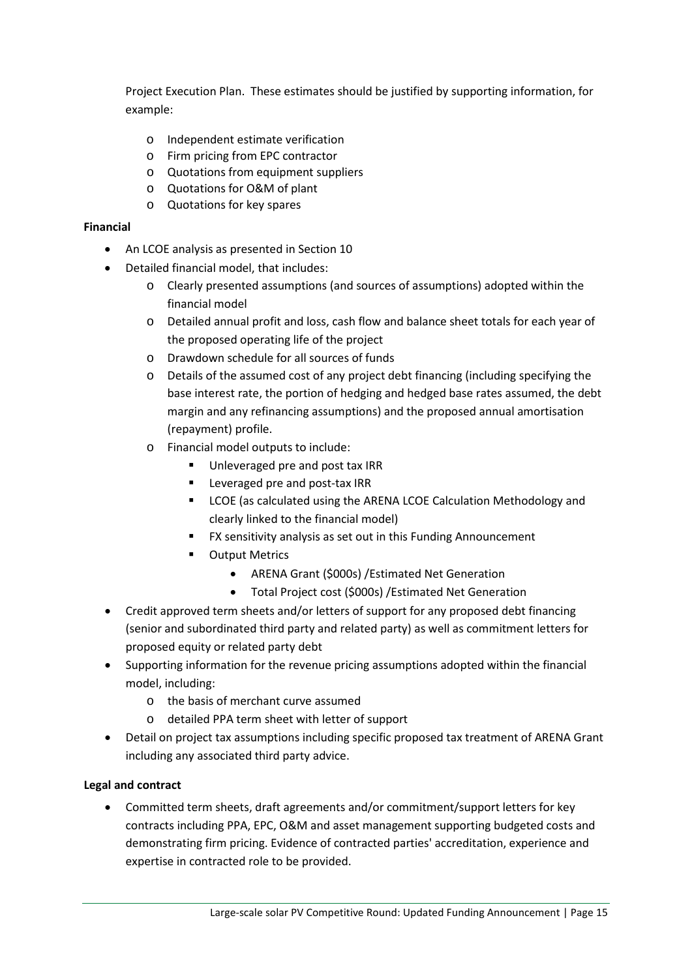Project Execution Plan. These estimates should be justified by supporting information, for example:

- o Independent estimate verification
- o Firm pricing from EPC contractor
- o Quotations from equipment suppliers
- o Quotations for O&M of plant
- o Quotations for key spares

#### **Financial**

- An LCOE analysis as presented in Section [10](#page-8-0)
- Detailed financial model, that includes:
	- o Clearly presented assumptions (and sources of assumptions) adopted within the financial model
	- o Detailed annual profit and loss, cash flow and balance sheet totals for each year of the proposed operating life of the project
	- o Drawdown schedule for all sources of funds
	- o Details of the assumed cost of any project debt financing (including specifying the base interest rate, the portion of hedging and hedged base rates assumed, the debt margin and any refinancing assumptions) and the proposed annual amortisation (repayment) profile.
	- o Financial model outputs to include:
		- Unleveraged pre and post tax IRR
		- **EXEC** Leveraged pre and post-tax IRR
		- **EXECOE** (as calculated using the ARENA LCOE Calculation Methodology and clearly linked to the financial model)
		- FX sensitivity analysis as set out in this Funding Announcement
		- **•** Output Metrics
			- ARENA Grant (\$000s) /Estimated Net Generation
			- Total Project cost (\$000s) /Estimated Net Generation
- Credit approved term sheets and/or letters of support for any proposed debt financing (senior and subordinated third party and related party) as well as commitment letters for proposed equity or related party debt
- Supporting information for the revenue pricing assumptions adopted within the financial model, including:
	- o the basis of merchant curve assumed
	- o detailed PPA term sheet with letter of support
- Detail on project tax assumptions including specific proposed tax treatment of ARENA Grant including any associated third party advice.

#### **Legal and contract**

• Committed term sheets, draft agreements and/or commitment/support letters for key contracts including PPA, EPC, O&M and asset management supporting budgeted costs and demonstrating firm pricing. Evidence of contracted parties' accreditation, experience and expertise in contracted role to be provided.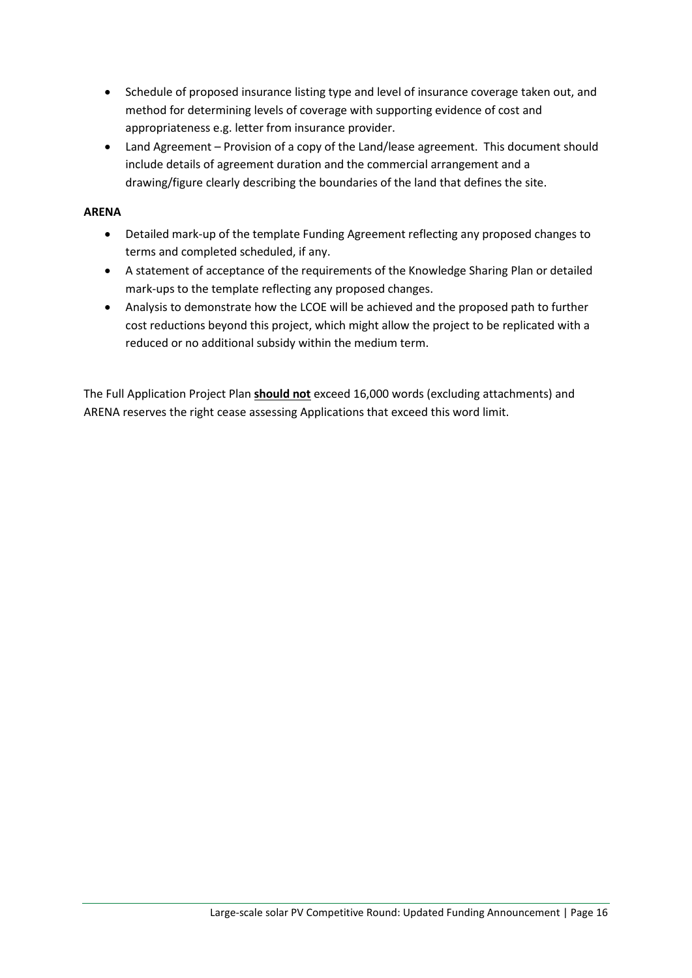- Schedule of proposed insurance listing type and level of insurance coverage taken out, and method for determining levels of coverage with supporting evidence of cost and appropriateness e.g. letter from insurance provider.
- Land Agreement Provision of a copy of the Land/lease agreement. This document should include details of agreement duration and the commercial arrangement and a drawing/figure clearly describing the boundaries of the land that defines the site.

#### **ARENA**

- Detailed mark-up of the template Funding Agreement reflecting any proposed changes to terms and completed scheduled, if any.
- A statement of acceptance of the requirements of the Knowledge Sharing Plan or detailed mark-ups to the template reflecting any proposed changes.
- Analysis to demonstrate how the LCOE will be achieved and the proposed path to further cost reductions beyond this project, which might allow the project to be replicated with a reduced or no additional subsidy within the medium term.

The Full Application Project Plan **should not** exceed 16,000 words (excluding attachments) and ARENA reserves the right cease assessing Applications that exceed this word limit.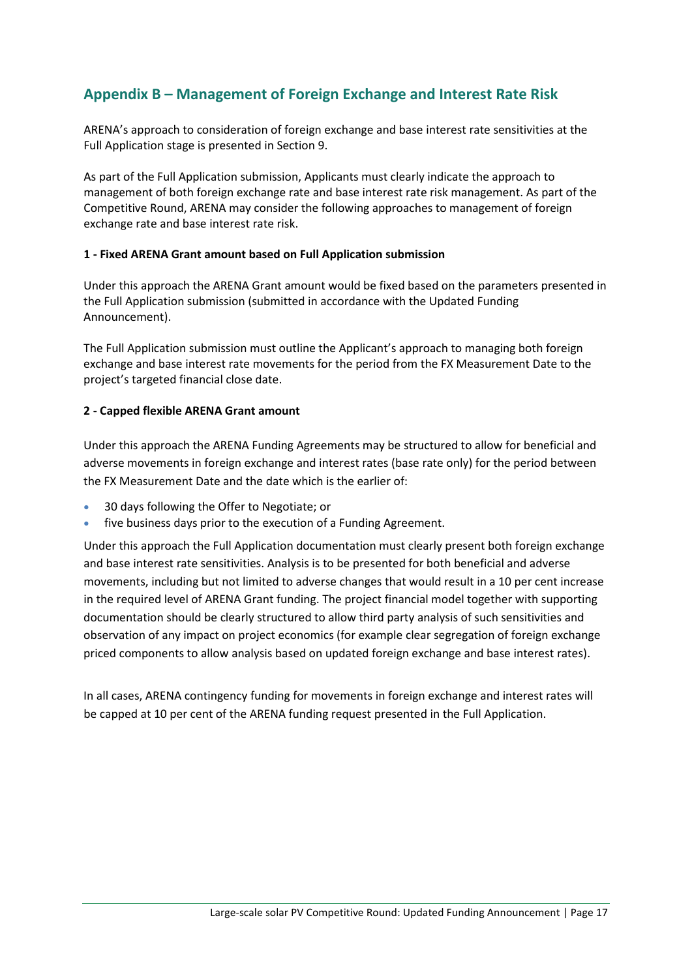### **Appendix B – Management of Foreign Exchange and Interest Rate Risk**

ARENA's approach to consideration of foreign exchange and base interest rate sensitivities at the Full Application stage is presented in Sectio[n 9.](#page-8-1)

As part of the Full Application submission, Applicants must clearly indicate the approach to management of both foreign exchange rate and base interest rate risk management. As part of the Competitive Round, ARENA may consider the following approaches to management of foreign exchange rate and base interest rate risk.

#### **1 - Fixed ARENA Grant amount based on Full Application submission**

Under this approach the ARENA Grant amount would be fixed based on the parameters presented in the Full Application submission (submitted in accordance with the Updated Funding Announcement).

The Full Application submission must outline the Applicant's approach to managing both foreign exchange and base interest rate movements for the period from the FX Measurement Date to the project's targeted financial close date.

#### **2 - Capped flexible ARENA Grant amount**

Under this approach the ARENA Funding Agreements may be structured to allow for beneficial and adverse movements in foreign exchange and interest rates (base rate only) for the period between the FX Measurement Date and the date which is the earlier of:

- 30 days following the Offer to Negotiate; or
- five business days prior to the execution of a Funding Agreement.

Under this approach the Full Application documentation must clearly present both foreign exchange and base interest rate sensitivities. Analysis is to be presented for both beneficial and adverse movements, including but not limited to adverse changes that would result in a 10 per cent increase in the required level of ARENA Grant funding. The project financial model together with supporting documentation should be clearly structured to allow third party analysis of such sensitivities and observation of any impact on project economics (for example clear segregation of foreign exchange priced components to allow analysis based on updated foreign exchange and base interest rates).

In all cases, ARENA contingency funding for movements in foreign exchange and interest rates will be capped at 10 per cent of the ARENA funding request presented in the Full Application.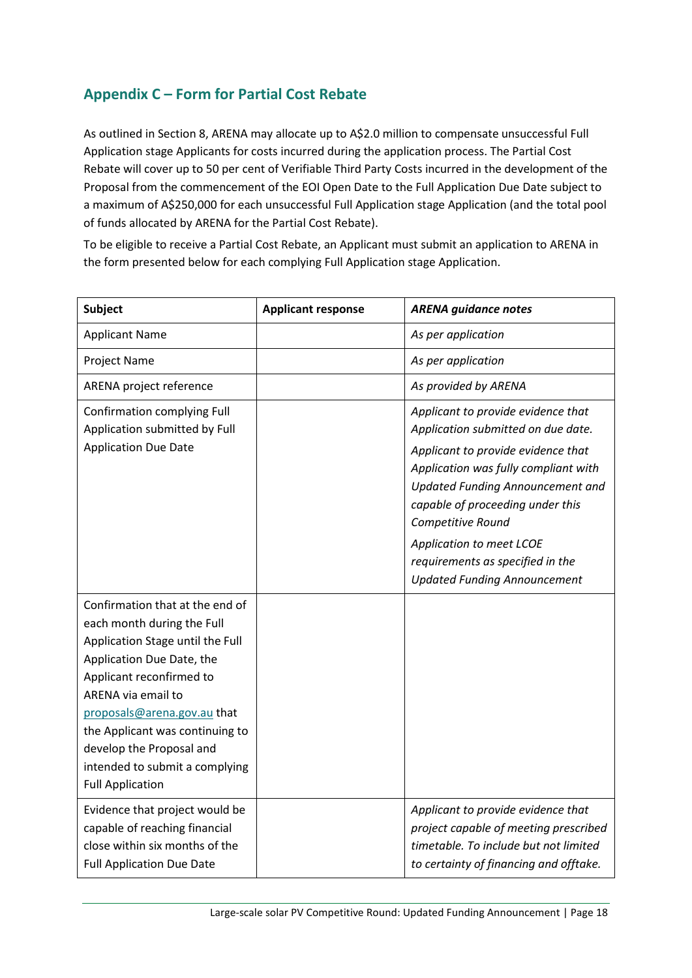## **Appendix C – Form for Partial Cost Rebate**

As outlined in Section [8,](#page-7-1) ARENA may allocate up to A\$2.0 million to compensate unsuccessful Full Application stage Applicants for costs incurred during the application process. The Partial Cost Rebate will cover up to 50 per cent of Verifiable Third Party Costs incurred in the development of the Proposal from the commencement of the EOI Open Date to the Full Application Due Date subject to a maximum of A\$250,000 for each unsuccessful Full Application stage Application (and the total pool of funds allocated by ARENA for the Partial Cost Rebate).

To be eligible to receive a Partial Cost Rebate, an Applicant must submit an application to ARENA in the form presented below for each complying Full Application stage Application.

| <b>Subject</b>                                                                                                                                                                                                                                                                                                                              | <b>Applicant response</b> | <b>ARENA guidance notes</b>                                                                                                                                                                                                                                                                                                                                |
|---------------------------------------------------------------------------------------------------------------------------------------------------------------------------------------------------------------------------------------------------------------------------------------------------------------------------------------------|---------------------------|------------------------------------------------------------------------------------------------------------------------------------------------------------------------------------------------------------------------------------------------------------------------------------------------------------------------------------------------------------|
| <b>Applicant Name</b>                                                                                                                                                                                                                                                                                                                       |                           | As per application                                                                                                                                                                                                                                                                                                                                         |
| Project Name                                                                                                                                                                                                                                                                                                                                |                           | As per application                                                                                                                                                                                                                                                                                                                                         |
| ARENA project reference                                                                                                                                                                                                                                                                                                                     |                           | As provided by ARENA                                                                                                                                                                                                                                                                                                                                       |
| <b>Confirmation complying Full</b><br>Application submitted by Full<br><b>Application Due Date</b>                                                                                                                                                                                                                                          |                           | Applicant to provide evidence that<br>Application submitted on due date.<br>Applicant to provide evidence that<br>Application was fully compliant with<br>Updated Funding Announcement and<br>capable of proceeding under this<br>Competitive Round<br>Application to meet LCOE<br>requirements as specified in the<br><b>Updated Funding Announcement</b> |
| Confirmation that at the end of<br>each month during the Full<br>Application Stage until the Full<br>Application Due Date, the<br>Applicant reconfirmed to<br>ARENA via email to<br>proposals@arena.gov.au that<br>the Applicant was continuing to<br>develop the Proposal and<br>intended to submit a complying<br><b>Full Application</b> |                           |                                                                                                                                                                                                                                                                                                                                                            |
| Evidence that project would be<br>capable of reaching financial<br>close within six months of the<br><b>Full Application Due Date</b>                                                                                                                                                                                                       |                           | Applicant to provide evidence that<br>project capable of meeting prescribed<br>timetable. To include but not limited<br>to certainty of financing and offtake.                                                                                                                                                                                             |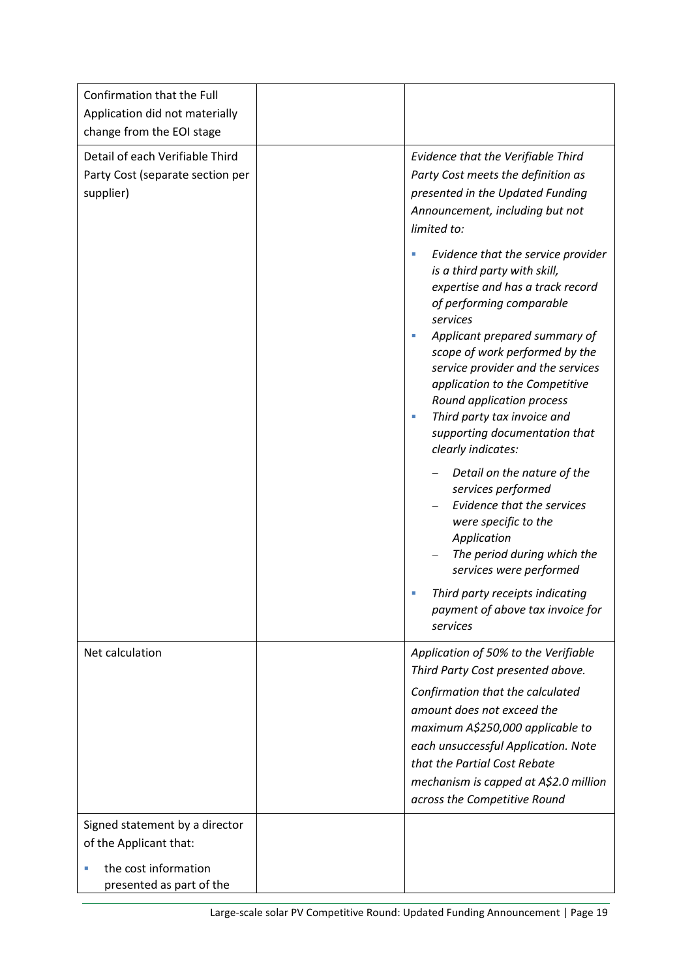| Confirmation that the Full<br>Application did not materially<br>change from the EOI stage                    |                                                                                                                                                                                                                                                                                                                                                                                                 |
|--------------------------------------------------------------------------------------------------------------|-------------------------------------------------------------------------------------------------------------------------------------------------------------------------------------------------------------------------------------------------------------------------------------------------------------------------------------------------------------------------------------------------|
| Detail of each Verifiable Third<br>Party Cost (separate section per<br>supplier)                             | Evidence that the Verifiable Third<br>Party Cost meets the definition as<br>presented in the Updated Funding<br>Announcement, including but not<br>limited to:<br>Evidence that the service provider<br>L.<br>is a third party with skill,<br>expertise and has a track record<br>of performing comparable<br>services<br>Applicant prepared summary of<br>×.<br>scope of work performed by the |
|                                                                                                              | service provider and the services<br>application to the Competitive<br>Round application process<br>Third party tax invoice and<br>L.<br>supporting documentation that<br>clearly indicates:                                                                                                                                                                                                    |
|                                                                                                              | Detail on the nature of the<br>services performed<br>Evidence that the services<br>were specific to the<br>Application<br>The period during which the<br>services were performed                                                                                                                                                                                                                |
|                                                                                                              | Third party receipts indicating<br>payment of above tax invoice for<br>services                                                                                                                                                                                                                                                                                                                 |
| Net calculation                                                                                              | Application of 50% to the Verifiable<br>Third Party Cost presented above.<br>Confirmation that the calculated<br>amount does not exceed the<br>maximum A\$250,000 applicable to<br>each unsuccessful Application. Note<br>that the Partial Cost Rebate<br>mechanism is capped at A\$2.0 million<br>across the Competitive Round                                                                 |
| Signed statement by a director<br>of the Applicant that:<br>the cost information<br>presented as part of the |                                                                                                                                                                                                                                                                                                                                                                                                 |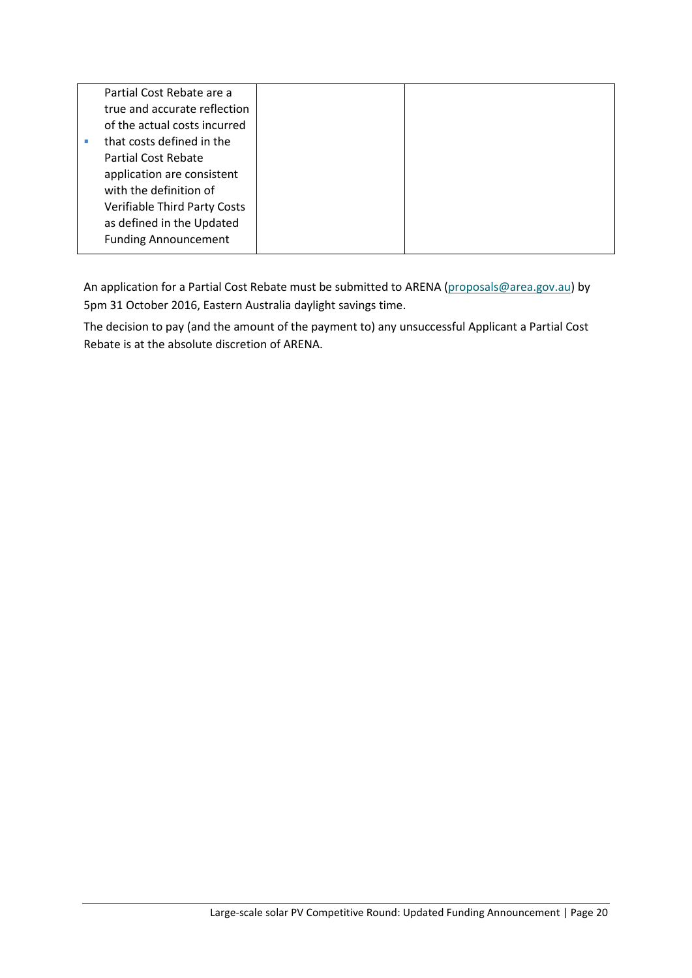| true and accurate reflection<br>of the actual costs incurred |
|--------------------------------------------------------------|
|                                                              |
|                                                              |
| that costs defined in the                                    |
| Partial Cost Rebate                                          |
| application are consistent                                   |
| with the definition of                                       |
| Verifiable Third Party Costs                                 |
| as defined in the Updated                                    |
| <b>Funding Announcement</b>                                  |

An application for a Partial Cost Rebate must be submitted to ARENA [\(proposals@area.gov.au\)](mailto:proposals@area.gov.au) by 5pm 31 October 2016, Eastern Australia daylight savings time.

The decision to pay (and the amount of the payment to) any unsuccessful Applicant a Partial Cost Rebate is at the absolute discretion of ARENA.